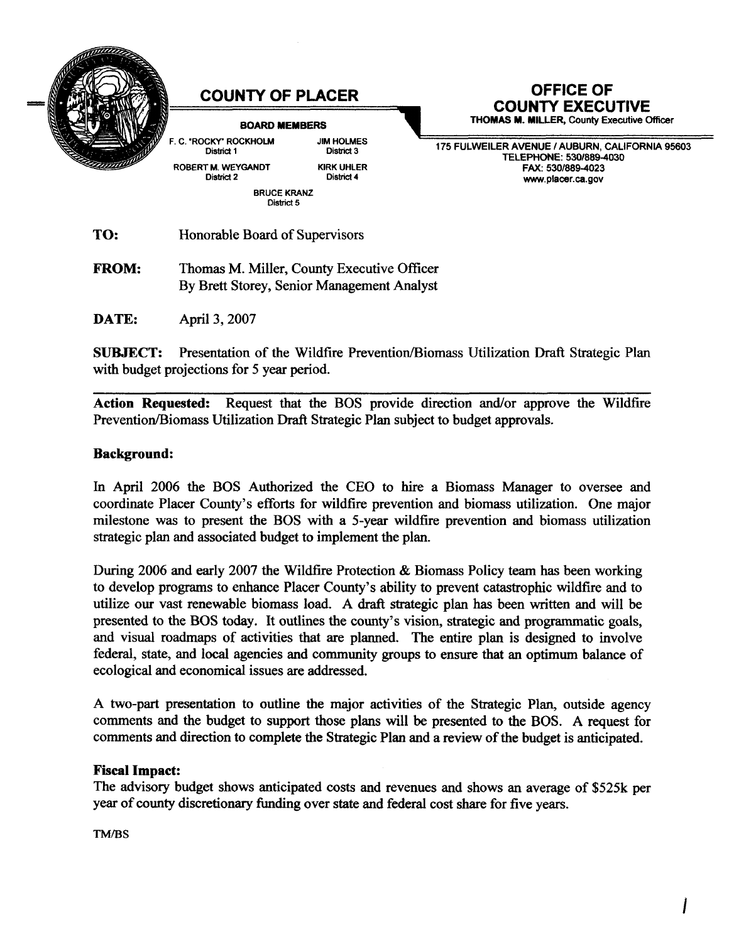

**DATE:** April 3, 2007

**SUBJECT:** Presentation of the Wildfire Prevention/Biomass Utilization Draft Strategic Plan with budget projections for 5 year period.

Action Requested: Request that the BOS provide direction and/or approve the Wildfire Prevention/Biomass Utilization Draft Strategic Plan subject to budget approvals.

## **Background:**

In April 2006 the BOS Authorized the CEO to hire a Biomass Manager to oversee and coordinate Placer County's efforts for wildfire prevention and biomass utilization. One major milestone was to present the BOS with a 5-year wildfire prevention and biomass utilization strategic plan and associated budget to implement the plan.

During 2006 and early 2007 the Wildfire Protection & Biomass Policy team has been working to develop programs to enhance Placer County's ability to prevent catastrophic wildfire and to utilize our vast renewable biomass load. A draft strategic plan has been written and will be presented to the BOS today. It outlines the county's vision, strategic and programmatic goals, and visual roadmaps of activities that are planned. The entire plan is designed to involve federal, state, and local agencies and community groups to ensure that an optimum balance of ecological and economical issues are addressed.

A two-part presentation to outline the major activities of the Strategic Plan, outside agency comments and the budget to support those plans will be presented to the BOS. A request for comments and direction to complete the Strategic Plan and a review of the budget is anticipated.

## **Fiscal Impact:**

The advisory budget shows anticipated costs and revenues and shows an average of \$525k per year of county discretionary funding over state and federal cost share for five years.

TM/BS